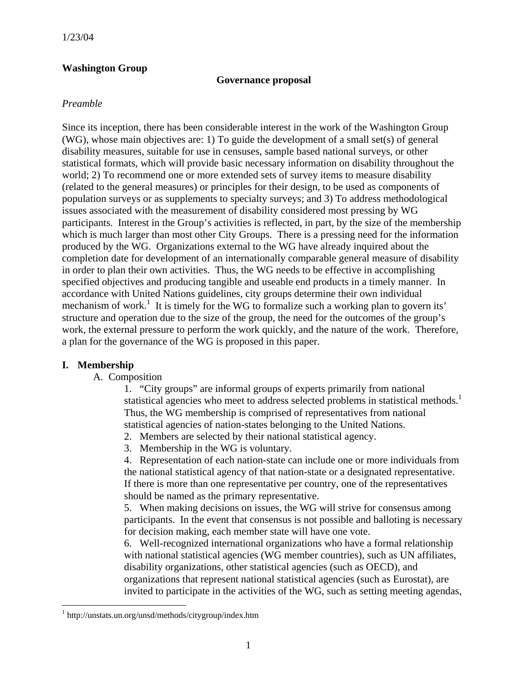#### **Washington Group**

#### **Governance proposal**

### *Preamble*

Since its inception, there has been considerable interest in the work of the Washington Group (WG), whose main objectives are: 1) To guide the development of a small set(s) of general disability measures, suitable for use in censuses, sample based national surveys, or other statistical formats, which will provide basic necessary information on disability throughout the world; 2) To recommend one or more extended sets of survey items to measure disability (related to the general measures) or principles for their design, to be used as components of population surveys or as supplements to specialty surveys; and 3) To address methodological issues associated with the measurement of disability considered most pressing by WG participants. Interest in the Group's activities is reflected, in part, by the size of the membership which is much larger than most other City Groups. There is a pressing need for the information produced by the WG. Organizations external to the WG have already inquired about the completion date for development of an internationally comparable general measure of disability in order to plan their own activities. Thus, the WG needs to be effective in accomplishing specified objectives and producing tangible and useable end products in a timely manner. In accordance with United Nations guidelines, city groups determine their own individual mechanism of work.<sup>1</sup> It is timely for the WG to formalize such a working plan to govern its' structure and operation due to the size of the group, the need for the outcomes of the group's work, the external pressure to perform the work quickly, and the nature of the work. Therefore, a plan for the governance of the WG is proposed in this paper.

#### **I. Membership**

<u>.</u>

A. Composition

1. "City groups" are informal groups of experts primarily from national statistical agencies who meet to address selected problems in statistical methods.<sup>1</sup> Thus, the WG membership is comprised of representatives from national statistical agencies of nation-states belonging to the United Nations.

2. Members are selected by their national statistical agency.

3. Membership in the WG is voluntary.

4. Representation of each nation-state can include one or more individuals from the national statistical agency of that nation-state or a designated representative. If there is more than one representative per country, one of the representatives should be named as the primary representative.

5. When making decisions on issues, the WG will strive for consensus among participants. In the event that consensus is not possible and balloting is necessary for decision making, each member state will have one vote.

6. Well-recognized international organizations who have a formal relationship with national statistical agencies (WG member countries), such as UN affiliates, disability organizations, other statistical agencies (such as OECD), and organizations that represent national statistical agencies (such as Eurostat), are invited to participate in the activities of the WG, such as setting meeting agendas,

<sup>1</sup> http://unstats.un.org/unsd/methods/citygroup/index.htm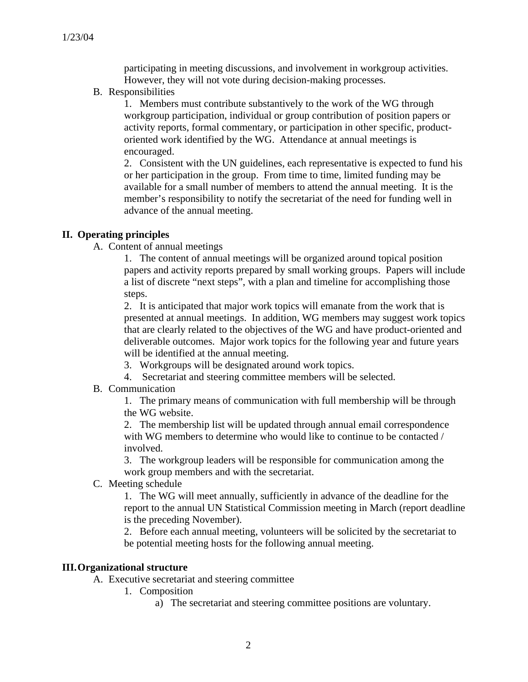participating in meeting discussions, and involvement in workgroup activities. However, they will not vote during decision-making processes.

B. Responsibilities

1. Members must contribute substantively to the work of the WG through workgroup participation, individual or group contribution of position papers or activity reports, formal commentary, or participation in other specific, productoriented work identified by the WG. Attendance at annual meetings is encouraged.

2. Consistent with the UN guidelines, each representative is expected to fund his or her participation in the group. From time to time, limited funding may be available for a small number of members to attend the annual meeting. It is the member's responsibility to notify the secretariat of the need for funding well in advance of the annual meeting.

#### **II. Operating principles**

A. Content of annual meetings

1. The content of annual meetings will be organized around topical position papers and activity reports prepared by small working groups. Papers will include a list of discrete "next steps", with a plan and timeline for accomplishing those steps.

2. It is anticipated that major work topics will emanate from the work that is presented at annual meetings. In addition, WG members may suggest work topics that are clearly related to the objectives of the WG and have product-oriented and deliverable outcomes. Major work topics for the following year and future years will be identified at the annual meeting.

- 3. Workgroups will be designated around work topics.
- 4. Secretariat and steering committee members will be selected.
- B. Communication

1. The primary means of communication with full membership will be through the WG website.

2. The membership list will be updated through annual email correspondence with WG members to determine who would like to continue to be contacted / involved.

3. The workgroup leaders will be responsible for communication among the work group members and with the secretariat.

C. Meeting schedule

1. The WG will meet annually, sufficiently in advance of the deadline for the report to the annual UN Statistical Commission meeting in March (report deadline is the preceding November).

2. Before each annual meeting, volunteers will be solicited by the secretariat to be potential meeting hosts for the following annual meeting.

#### **III.Organizational structure**

A. Executive secretariat and steering committee

- 1. Composition
	- a) The secretariat and steering committee positions are voluntary.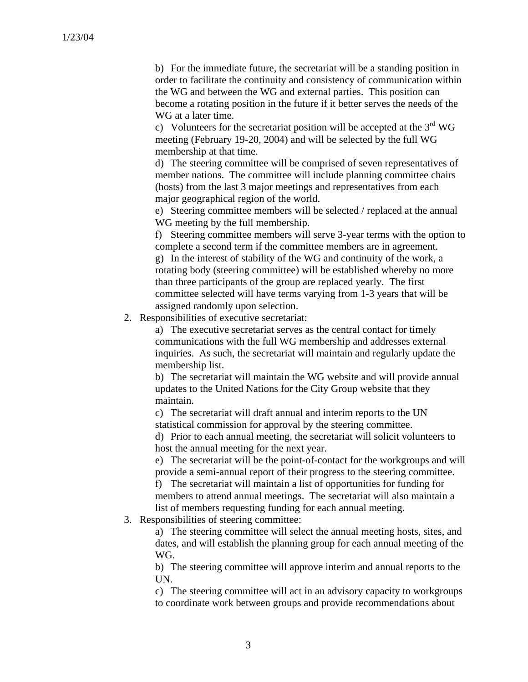b) For the immediate future, the secretariat will be a standing position in order to facilitate the continuity and consistency of communication within the WG and between the WG and external parties. This position can become a rotating position in the future if it better serves the needs of the WG at a later time.

c) Volunteers for the secretariat position will be accepted at the  $3<sup>rd</sup>$  WG meeting (February 19-20, 2004) and will be selected by the full WG membership at that time.

d) The steering committee will be comprised of seven representatives of member nations. The committee will include planning committee chairs (hosts) from the last 3 major meetings and representatives from each major geographical region of the world.

e) Steering committee members will be selected / replaced at the annual WG meeting by the full membership.

f) Steering committee members will serve 3-year terms with the option to complete a second term if the committee members are in agreement. g) In the interest of stability of the WG and continuity of the work, a rotating body (steering committee) will be established whereby no more than three participants of the group are replaced yearly. The first committee selected will have terms varying from 1-3 years that will be assigned randomly upon selection.

2. Responsibilities of executive secretariat:

a) The executive secretariat serves as the central contact for timely communications with the full WG membership and addresses external inquiries. As such, the secretariat will maintain and regularly update the membership list.

b) The secretariat will maintain the WG website and will provide annual updates to the United Nations for the City Group website that they maintain.

c) The secretariat will draft annual and interim reports to the UN statistical commission for approval by the steering committee.

d) Prior to each annual meeting, the secretariat will solicit volunteers to host the annual meeting for the next year.

e) The secretariat will be the point-of-contact for the workgroups and will provide a semi-annual report of their progress to the steering committee.

f) The secretariat will maintain a list of opportunities for funding for members to attend annual meetings. The secretariat will also maintain a list of members requesting funding for each annual meeting.

3. Responsibilities of steering committee:

a) The steering committee will select the annual meeting hosts, sites, and dates, and will establish the planning group for each annual meeting of the WG.

b) The steering committee will approve interim and annual reports to the UN.

c) The steering committee will act in an advisory capacity to workgroups to coordinate work between groups and provide recommendations about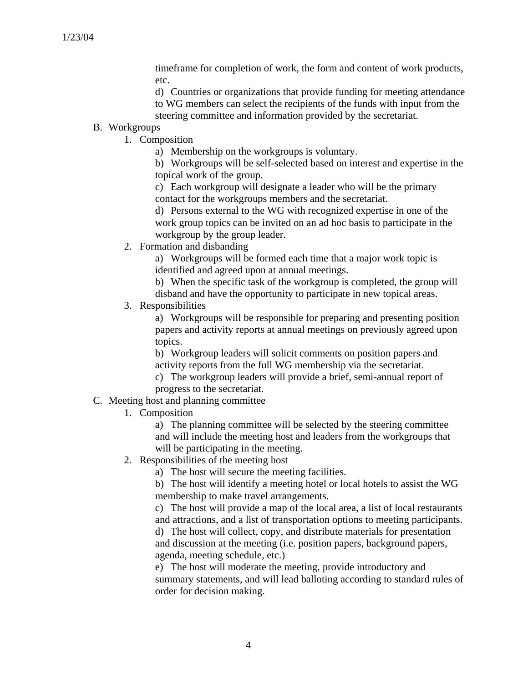timeframe for completion of work, the form and content of work products, etc.

d) Countries or organizations that provide funding for meeting attendance to WG members can select the recipients of the funds with input from the steering committee and information provided by the secretariat.

# B. Workgroups

1. Composition

a) Membership on the workgroups is voluntary.

b) Workgroups will be self-selected based on interest and expertise in the topical work of the group.

c) Each workgroup will designate a leader who will be the primary contact for the workgroups members and the secretariat.

d) Persons external to the WG with recognized expertise in one of the work group topics can be invited on an ad hoc basis to participate in the workgroup by the group leader.

2. Formation and disbanding

a) Workgroups will be formed each time that a major work topic is identified and agreed upon at annual meetings.

b) When the specific task of the workgroup is completed, the group will disband and have the opportunity to participate in new topical areas.

3. Responsibilities

a) Workgroups will be responsible for preparing and presenting position papers and activity reports at annual meetings on previously agreed upon topics.

b) Workgroup leaders will solicit comments on position papers and activity reports from the full WG membership via the secretariat.

c) The workgroup leaders will provide a brief, semi-annual report of progress to the secretariat.

## C. Meeting host and planning committee

1. Composition

a) The planning committee will be selected by the steering committee and will include the meeting host and leaders from the workgroups that will be participating in the meeting.

2. Responsibilities of the meeting host

a) The host will secure the meeting facilities.

b) The host will identify a meeting hotel or local hotels to assist the WG membership to make travel arrangements.

c) The host will provide a map of the local area, a list of local restaurants and attractions, and a list of transportation options to meeting participants.

d) The host will collect, copy, and distribute materials for presentation and discussion at the meeting (i.e. position papers, background papers, agenda, meeting schedule, etc.)

e) The host will moderate the meeting, provide introductory and summary statements, and will lead balloting according to standard rules of order for decision making.